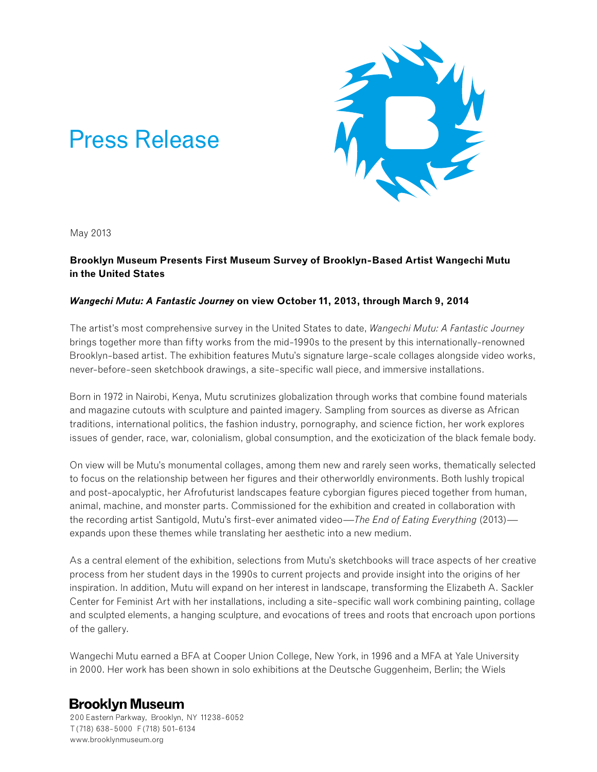

# Press Release

May 2013

# **Brooklyn Museum Presents First Museum Survey of Brooklyn-Based Artist Wangechi Mutu in the United States**

## *Wangechi Mutu: A Fantastic Journey* **on view October 11, 2013, through March 9, 2014**

The artist's most comprehensive survey in the United States to date, *Wangechi Mutu: A Fantastic Journey*  brings together more than fifty works from the mid-1990s to the present by this internationally-renowned Brooklyn-based artist. The exhibition features Mutu's signature large-scale collages alongside video works, never-before-seen sketchbook drawings, a site-specific wall piece, and immersive installations.

Born in 1972 in Nairobi, Kenya, Mutu scrutinizes globalization through works that combine found materials and magazine cutouts with sculpture and painted imagery. Sampling from sources as diverse as African traditions, international politics, the fashion industry, pornography, and science fiction, her work explores issues of gender, race, war, colonialism, global consumption, and the exoticization of the black female body.

On view will be Mutu's monumental collages, among them new and rarely seen works, thematically selected to focus on the relationship between her figures and their otherworldly environments. Both lushly tropical and post-apocalyptic, her Afrofuturist landscapes feature cyborgian figures pieced together from human, animal, machine, and monster parts. Commissioned for the exhibition and created in collaboration with the recording artist Santigold, Mutu's first-ever animated video—*The End of Eating Everything* (2013) expands upon these themes while translating her aesthetic into a new medium.

As a central element of the exhibition, selections from Mutu's sketchbooks will trace aspects of her creative process from her student days in the 1990s to current projects and provide insight into the origins of her inspiration. In addition, Mutu will expand on her interest in landscape, transforming the Elizabeth A. Sackler Center for Feminist Art with her installations, including a site-specific wall work combining painting, collage and sculpted elements, a hanging sculpture, and evocations of trees and roots that encroach upon portions of the gallery.

Wangechi Mutu earned a BFA at Cooper Union College, New York, in 1996 and a MFA at Yale University in 2000. Her work has been shown in solo exhibitions at the Deutsche Guggenheim, Berlin; the Wiels

# **Brooklyn Museum**

200 Eastern Parkway, Brooklyn, NY 11238-6052 T (718) 638-5000 F (718) 501-6134 www.brooklynmuseum.org